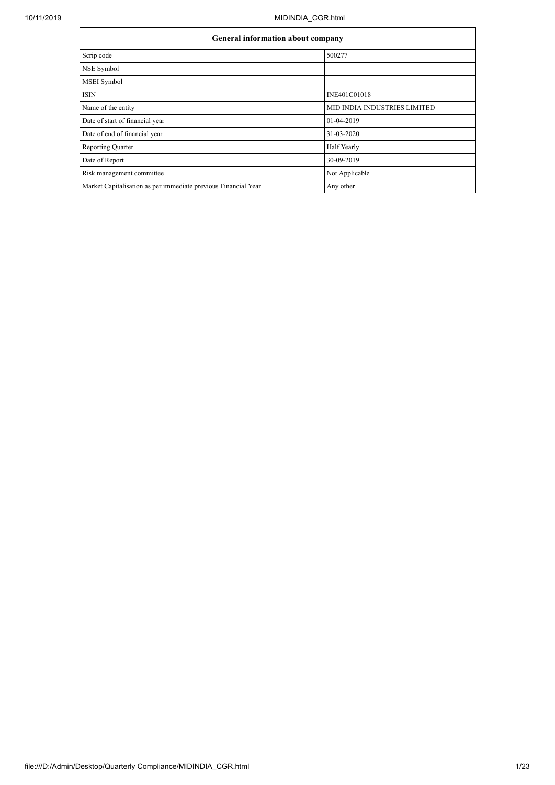|                                                                | General information about company   |  |  |  |  |  |
|----------------------------------------------------------------|-------------------------------------|--|--|--|--|--|
| Scrip code                                                     | 500277                              |  |  |  |  |  |
| NSE Symbol                                                     |                                     |  |  |  |  |  |
| MSEI Symbol                                                    |                                     |  |  |  |  |  |
| <b>ISIN</b>                                                    | INE401C01018                        |  |  |  |  |  |
| Name of the entity                                             | <b>MID INDIA INDUSTRIES LIMITED</b> |  |  |  |  |  |
| Date of start of financial year                                | 01-04-2019                          |  |  |  |  |  |
| Date of end of financial year                                  | 31-03-2020                          |  |  |  |  |  |
| <b>Reporting Quarter</b>                                       | Half Yearly                         |  |  |  |  |  |
| Date of Report                                                 | 30-09-2019                          |  |  |  |  |  |
| Risk management committee                                      | Not Applicable                      |  |  |  |  |  |
| Market Capitalisation as per immediate previous Financial Year | Any other                           |  |  |  |  |  |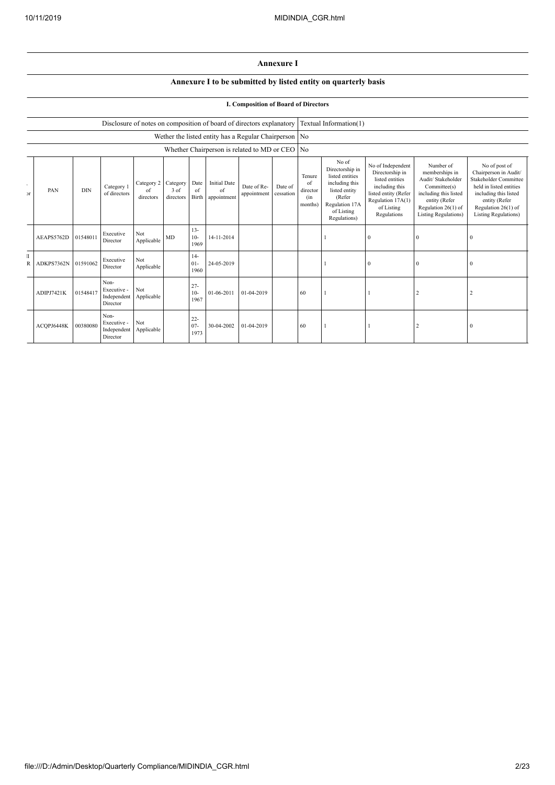## **Annexure I**

## **Annexure I to be submitted by listed entity on quarterly basis**

## **I. Composition of Board of Directors**

|                    |            |            |                                                |                               |                               |                          | Disclosure of notes on composition of board of directors explanatory |                            |                      |                                            | Textual Information(1)                                                                                                                   |                                                                                                                                                     |                                                                                                                                                                   |                                                                                                                                                                                     |
|--------------------|------------|------------|------------------------------------------------|-------------------------------|-------------------------------|--------------------------|----------------------------------------------------------------------|----------------------------|----------------------|--------------------------------------------|------------------------------------------------------------------------------------------------------------------------------------------|-----------------------------------------------------------------------------------------------------------------------------------------------------|-------------------------------------------------------------------------------------------------------------------------------------------------------------------|-------------------------------------------------------------------------------------------------------------------------------------------------------------------------------------|
|                    |            |            |                                                |                               |                               |                          | Wether the listed entity has a Regular Chairperson No                |                            |                      |                                            |                                                                                                                                          |                                                                                                                                                     |                                                                                                                                                                   |                                                                                                                                                                                     |
|                    |            |            |                                                |                               |                               |                          | Whether Chairperson is related to MD or CEO No                       |                            |                      |                                            |                                                                                                                                          |                                                                                                                                                     |                                                                                                                                                                   |                                                                                                                                                                                     |
| ٠<br>$\mathcal{F}$ | PAN        | <b>DIN</b> | Category 1<br>of directors                     | Category 2<br>of<br>directors | Category<br>3 of<br>directors | Date<br>of<br>Birth      | <b>Initial Date</b><br>of<br>appointment                             | Date of Re-<br>appointment | Date of<br>cessation | Tenure<br>of<br>director<br>(in<br>months) | No of<br>Directorship in<br>listed entities<br>including this<br>listed entity<br>(Refer<br>Regulation 17A<br>of Listing<br>Regulations) | No of Independent<br>Directorship in<br>listed entities<br>including this<br>listed entity (Refer<br>Regulation 17A(1)<br>of Listing<br>Regulations | Number of<br>memberships in<br>Audit/ Stakeholder<br>Committee(s)<br>including this listed<br>entity (Refer<br>Regulation 26(1) of<br><b>Listing Regulations)</b> | No of post of<br>Chairperson in Audit/<br>Stakeholder Committee<br>held in listed entities<br>including this listed<br>entity (Refer<br>Regulation 26(1) of<br>Listing Regulations) |
|                    | AEAPS5762D | 01548011   | Executive<br>Director                          | Not<br>Applicable             | MD                            | $13 -$<br>$10-$<br>1969  | 14-11-2014                                                           |                            |                      |                                            |                                                                                                                                          | $\Omega$                                                                                                                                            | $\Omega$                                                                                                                                                          | $\Omega$                                                                                                                                                                            |
| T<br>R             | ADKPS7362N | 01591062   | Executive<br>Director                          | Not<br>Applicable             |                               | $14-$<br>$01 -$<br>1960  | 24-05-2019                                                           |                            |                      |                                            |                                                                                                                                          |                                                                                                                                                     | $\Omega$                                                                                                                                                          |                                                                                                                                                                                     |
|                    | ADIPJ7421K | 01548417   | Non-<br>Executive -<br>Independent<br>Director | Not<br>Applicable             |                               | $27 -$<br>$10-$<br>1967  | 01-06-2011                                                           | 01-04-2019                 |                      | 60                                         |                                                                                                                                          |                                                                                                                                                     |                                                                                                                                                                   |                                                                                                                                                                                     |
|                    | ACQPJ6448K | 00380080   | Non-<br>Executive -<br>Independent<br>Director | Not<br>Applicable             |                               | $22 -$<br>$07 -$<br>1973 | 30-04-2002                                                           | 01-04-2019                 |                      | 60                                         |                                                                                                                                          |                                                                                                                                                     |                                                                                                                                                                   | $\Omega$                                                                                                                                                                            |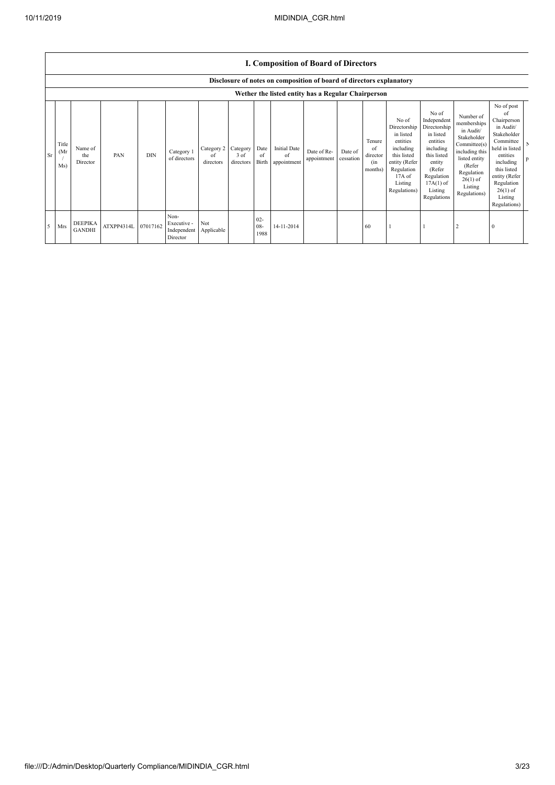|    |                      | <b>I. Composition of Board of Directors</b><br>Disclosure of notes on composition of board of directors explanatory |            |          |                                                |                               |                               |                       |                                          |                                                                                  |                      |                                            |                                                                                                                                                |                                                                                                                                                                      |                                                                                                                                                                          |                                                                                                                                                                                                            |
|----|----------------------|---------------------------------------------------------------------------------------------------------------------|------------|----------|------------------------------------------------|-------------------------------|-------------------------------|-----------------------|------------------------------------------|----------------------------------------------------------------------------------|----------------------|--------------------------------------------|------------------------------------------------------------------------------------------------------------------------------------------------|----------------------------------------------------------------------------------------------------------------------------------------------------------------------|--------------------------------------------------------------------------------------------------------------------------------------------------------------------------|------------------------------------------------------------------------------------------------------------------------------------------------------------------------------------------------------------|
| Sr | Title<br>(Mr)<br>Ms) | Name of<br>the<br>Director                                                                                          | PAN        | DIN      | Category 1<br>of directors                     | Category 2<br>of<br>directors | Category<br>3 of<br>directors | Date<br>of<br>Birth   | <b>Initial Date</b><br>of<br>appointment | Wether the listed entity has a Regular Chairperson<br>Date of Re-<br>appointment | Date of<br>cessation | Tenure<br>of<br>director<br>(in<br>months) | No of<br>Directorship<br>in listed<br>entities<br>including<br>this listed<br>entity (Refer<br>Regulation<br>17A of<br>Listing<br>Regulations) | No of<br>Independent<br>Directorship<br>in listed<br>entities<br>including<br>this listed<br>entity<br>(Refer<br>Regulation<br>$17A(1)$ of<br>Listing<br>Regulations | Number of<br>memberships<br>in Audit/<br>Stakeholder<br>Committee(s)<br>including this<br>listed entity<br>(Refer<br>Regulation<br>$26(1)$ of<br>Listing<br>Regulations) | No of post<br>of<br>Chairperson<br>in Audit/<br>Stakeholder<br>Committee<br>held in listed<br>entities<br>including<br>this listed<br>entity (Refer<br>Regulation<br>$26(1)$ of<br>Listing<br>Regulations) |
|    | Mrs                  | <b>DEEPIKA</b><br><b>GANDHI</b>                                                                                     | ATXPP4314L | 07017162 | Non-<br>Executive -<br>Independent<br>Director | Not<br>Applicable             |                               | $02 -$<br>08-<br>1988 | 14-11-2014                               |                                                                                  |                      | 60                                         |                                                                                                                                                |                                                                                                                                                                      |                                                                                                                                                                          | $\theta$                                                                                                                                                                                                   |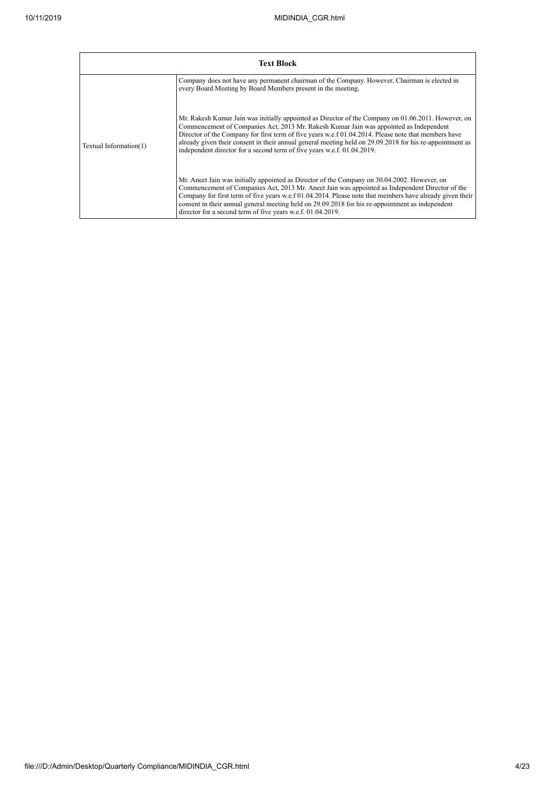|                        | <b>Text Block</b>                                                                                                                                                                                                                                                                                                                                                                                                                                                                            |
|------------------------|----------------------------------------------------------------------------------------------------------------------------------------------------------------------------------------------------------------------------------------------------------------------------------------------------------------------------------------------------------------------------------------------------------------------------------------------------------------------------------------------|
|                        | Company does not have any permanent chairman of the Company. However, Chairman is elected in<br>every Board Meeting by Board Members present in the meeting.                                                                                                                                                                                                                                                                                                                                 |
| Textual Information(1) | Mr. Rakesh Kumar Jain was initially appointed as Director of the Company on 01.06.2011. However, on<br>Commencement of Companies Act, 2013 Mr. Rakesh Kumar Jain was appointed as Independent<br>Director of the Company for first term of five years w.e.f 01.04.2014. Please note that members have<br>already given their consent in their annual general meeting held on 29.09.2018 for his re-appointment as<br>independent director for a second term of five years w.e.f. 01.04.2019. |
|                        | Mr. Aneet Jain was initially appointed as Director of the Company on 30.04.2002. However, on<br>Commencement of Companies Act, 2013 Mr. Aneet Jain was appointed as Independent Director of the<br>Company for first term of five years w.e.f 01.04.2014. Please note that members have already given their<br>consent in their annual general meeting held on 29.09.2018 for his re-appointment as independent<br>director for a second term of five years w.e.f. 01.04.2019.               |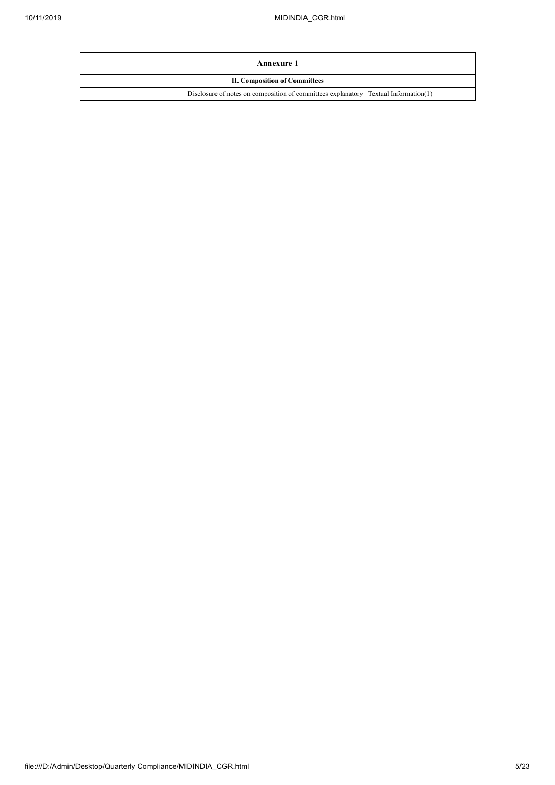| Annexure 1                                                                            |  |  |  |  |  |
|---------------------------------------------------------------------------------------|--|--|--|--|--|
| <b>II. Composition of Committees</b>                                                  |  |  |  |  |  |
| Disclosure of notes on composition of committees explanatory   Textual Information(1) |  |  |  |  |  |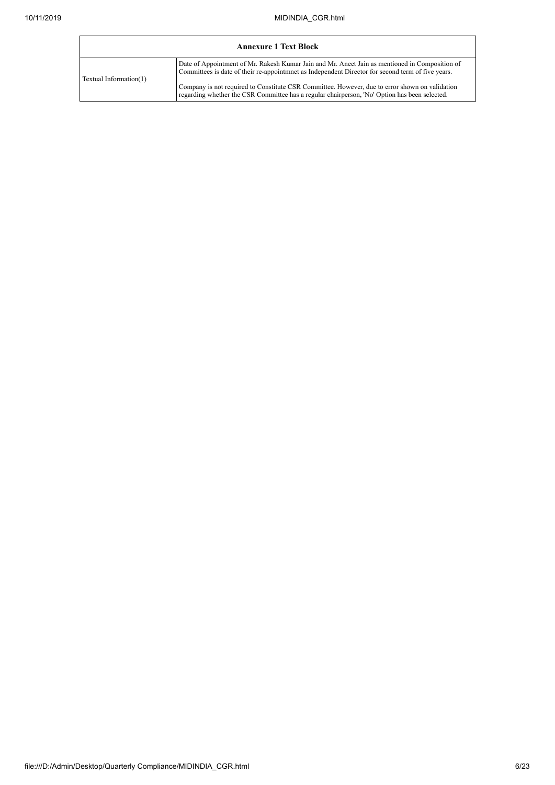| <b>Annexure 1 Text Block</b> |                                                                                                                                                                                                     |  |  |  |  |  |
|------------------------------|-----------------------------------------------------------------------------------------------------------------------------------------------------------------------------------------------------|--|--|--|--|--|
| Textual Information(1)       | Date of Appointment of Mr. Rakesh Kumar Jain and Mr. Aneet Jain as mentioned in Composition of<br>Committees is date of their re-appointment as Independent Director for second term of five years. |  |  |  |  |  |
|                              | Company is not required to Constitute CSR Committee. However, due to error shown on validation<br>regarding whether the CSR Committee has a regular chairperson, 'No' Option has been selected.     |  |  |  |  |  |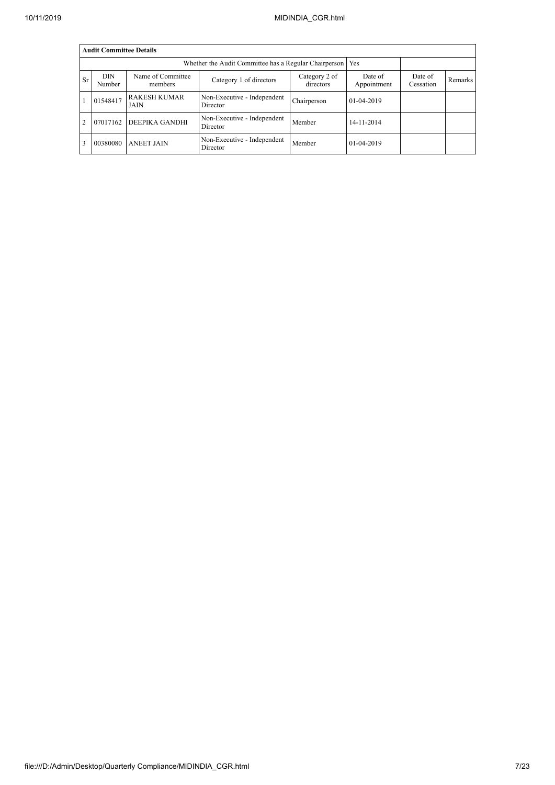|           | <b>Audit Committee Details</b> |                              |                                         |                            |                        |                      |         |  |  |  |  |
|-----------|--------------------------------|------------------------------|-----------------------------------------|----------------------------|------------------------|----------------------|---------|--|--|--|--|
|           |                                |                              |                                         |                            |                        |                      |         |  |  |  |  |
| <b>Sr</b> | <b>DIN</b><br>Number           | Name of Committee<br>members | Category 1 of directors                 | Category 2 of<br>directors | Date of<br>Appointment | Date of<br>Cessation | Remarks |  |  |  |  |
|           | 01548417                       | <b>RAKESH KUMAR</b><br>JAIN  | Non-Executive - Independent<br>Director | Chairperson                | $01-04-2019$           |                      |         |  |  |  |  |
| 2         | 07017162                       | DEEPIKA GANDHI               | Non-Executive - Independent<br>Director | Member                     | 14-11-2014             |                      |         |  |  |  |  |
|           | 00380080                       | <b>ANEET JAIN</b>            | Non-Executive - Independent<br>Director | Member                     | $01-04-2019$           |                      |         |  |  |  |  |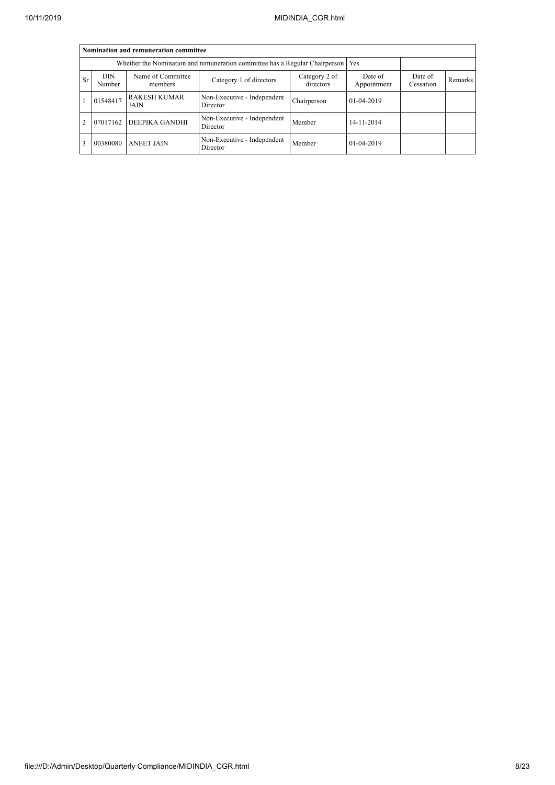|                | Nomination and remuneration committee                                             |                              |                                         |                            |                        |                      |         |  |  |  |  |
|----------------|-----------------------------------------------------------------------------------|------------------------------|-----------------------------------------|----------------------------|------------------------|----------------------|---------|--|--|--|--|
|                | Whether the Nomination and remuneration committee has a Regular Chairperson   Yes |                              |                                         |                            |                        |                      |         |  |  |  |  |
| <b>Sr</b>      | <b>DIN</b><br>Number                                                              | Name of Committee<br>members | Category 1 of directors                 | Category 2 of<br>directors | Date of<br>Appointment | Date of<br>Cessation | Remarks |  |  |  |  |
|                | 01548417                                                                          | <b>RAKESH KUMAR</b><br>JAIN  | Non-Executive - Independent<br>Director | Chairperson                | 01-04-2019             |                      |         |  |  |  |  |
| $\overline{2}$ | 07017162                                                                          | <b>DEEPIKA GANDHI</b>        | Non-Executive - Independent<br>Director | Member                     | 14-11-2014             |                      |         |  |  |  |  |
|                | 00380080                                                                          | <b>ANEET JAIN</b>            | Non-Executive - Independent<br>Director | Member                     | $01 - 04 - 2019$       |                      |         |  |  |  |  |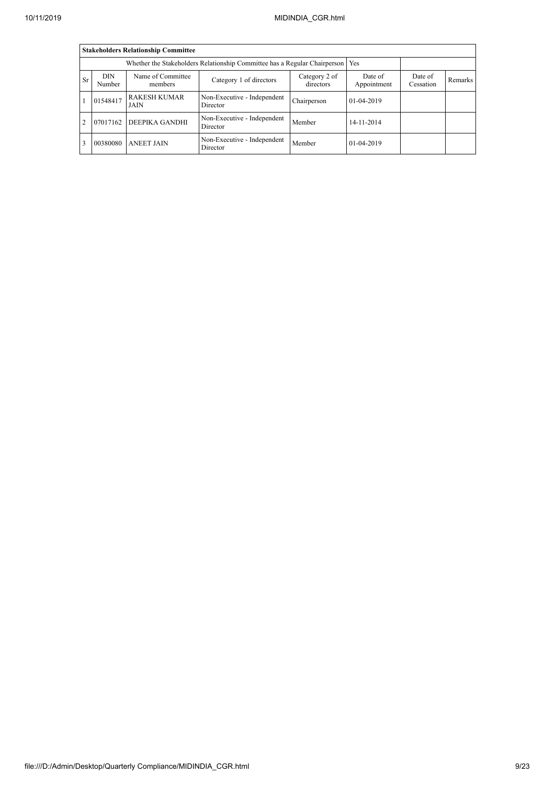|           | <b>Stakeholders Relationship Committee</b>                                      |                              |                                         |                            |                        |                      |         |  |  |  |  |
|-----------|---------------------------------------------------------------------------------|------------------------------|-----------------------------------------|----------------------------|------------------------|----------------------|---------|--|--|--|--|
|           | Whether the Stakeholders Relationship Committee has a Regular Chairperson   Yes |                              |                                         |                            |                        |                      |         |  |  |  |  |
| <b>Sr</b> | <b>DIN</b><br>Number                                                            | Name of Committee<br>members | Category 1 of directors                 | Category 2 of<br>directors | Date of<br>Appointment | Date of<br>Cessation | Remarks |  |  |  |  |
|           | 01548417                                                                        | <b>RAKESH KUMAR</b><br>JAIN  | Non-Executive - Independent<br>Director | Chairperson                | $01-04-2019$           |                      |         |  |  |  |  |
| 2         | 07017162                                                                        | DEEPIKA GANDHI               | Non-Executive - Independent<br>Director | Member                     | 14-11-2014             |                      |         |  |  |  |  |
|           | 00380080                                                                        | <b>ANEET JAIN</b>            | Non-Executive - Independent<br>Director | Member                     | $01-04-2019$           |                      |         |  |  |  |  |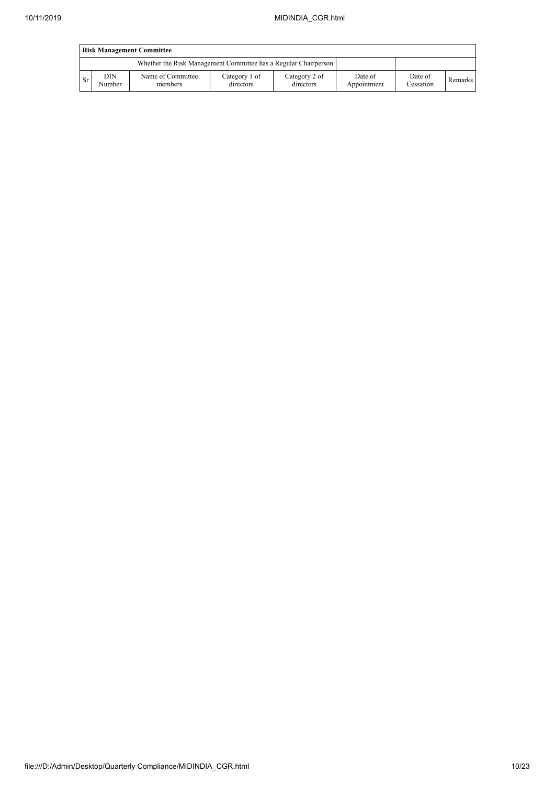|           | <b>Risk Management Committee</b> |                                                                 |                            |                            |                        |                      |         |  |  |  |
|-----------|----------------------------------|-----------------------------------------------------------------|----------------------------|----------------------------|------------------------|----------------------|---------|--|--|--|
|           |                                  | Whether the Risk Management Committee has a Regular Chairperson |                            |                            |                        |                      |         |  |  |  |
| <b>Sr</b> | DIN<br>Number                    | Name of Committee<br>members                                    | Category 1 of<br>directors | Category 2 of<br>directors | Date of<br>Appointment | Date of<br>Cessation | Remarks |  |  |  |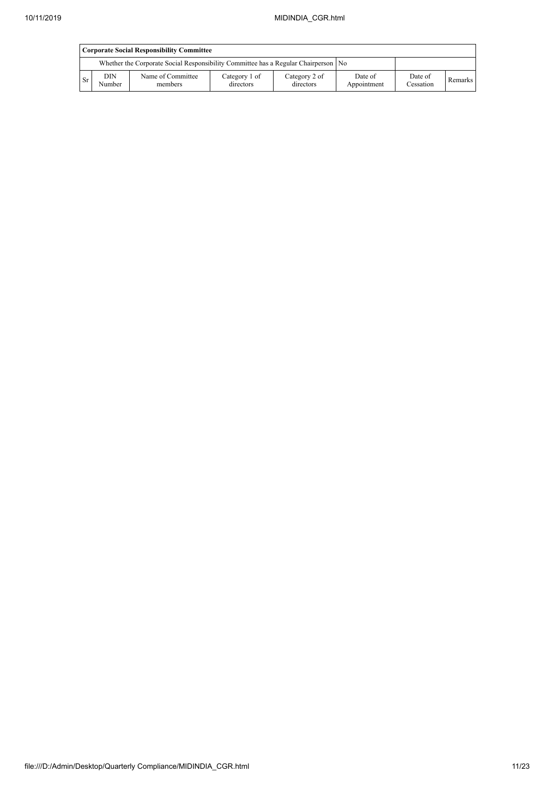|           | <b>Corporate Social Responsibility Committee</b> |                                                                                      |                            |                            |                        |                      |         |  |  |  |
|-----------|--------------------------------------------------|--------------------------------------------------------------------------------------|----------------------------|----------------------------|------------------------|----------------------|---------|--|--|--|
|           |                                                  | Whether the Corporate Social Responsibility Committee has a Regular Chairperson   No |                            |                            |                        |                      |         |  |  |  |
| <b>Sr</b> | <b>DIN</b><br>Number                             | Name of Committee<br>members                                                         | Category 1 of<br>directors | Category 2 of<br>directors | Date of<br>Appointment | Date of<br>Cessation | Remarks |  |  |  |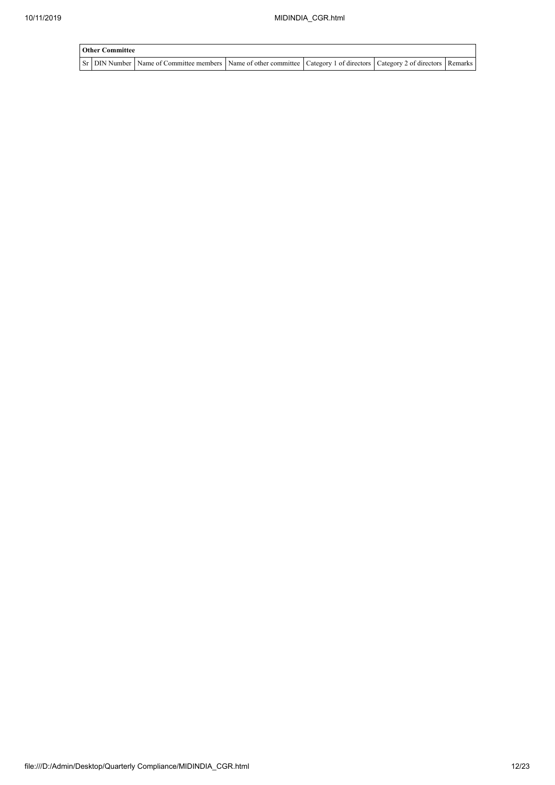| <b>Other Committee</b> |                                                                                                                                     |  |  |  |  |  |  |  |  |  |
|------------------------|-------------------------------------------------------------------------------------------------------------------------------------|--|--|--|--|--|--|--|--|--|
|                        | Sr   DIN Number   Name of Committee members   Name of other committee   Category 1 of directors   Category 2 of directors   Remarks |  |  |  |  |  |  |  |  |  |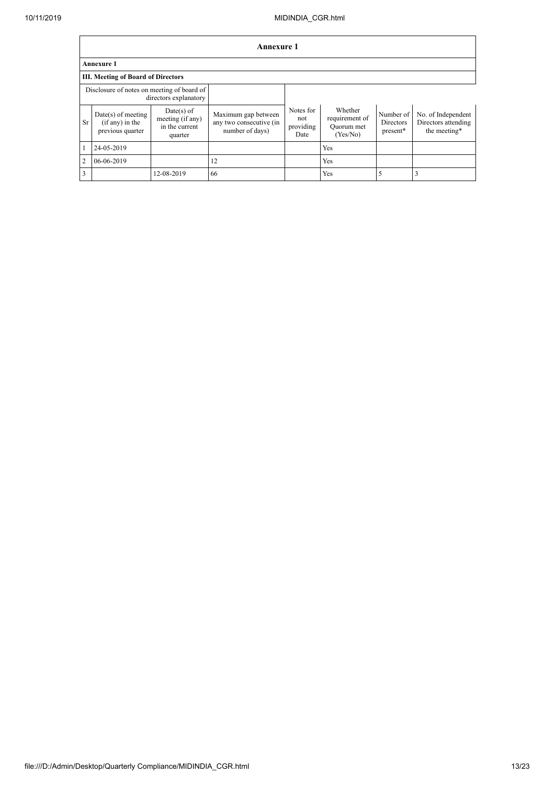|                                                                     | Annexure 1                                                    |                                                               |                                                                   |                                       |                                                     |                                    |                                                           |
|---------------------------------------------------------------------|---------------------------------------------------------------|---------------------------------------------------------------|-------------------------------------------------------------------|---------------------------------------|-----------------------------------------------------|------------------------------------|-----------------------------------------------------------|
|                                                                     | <b>Annexure 1</b>                                             |                                                               |                                                                   |                                       |                                                     |                                    |                                                           |
|                                                                     | III. Meeting of Board of Directors                            |                                                               |                                                                   |                                       |                                                     |                                    |                                                           |
| Disclosure of notes on meeting of board of<br>directors explanatory |                                                               |                                                               |                                                                   |                                       |                                                     |                                    |                                                           |
| Sr                                                                  | $Date(s)$ of meeting<br>$(if any)$ in the<br>previous quarter | $Date(s)$ of<br>meeting (if any)<br>in the current<br>quarter | Maximum gap between<br>any two consecutive (in<br>number of days) | Notes for<br>not<br>providing<br>Date | Whether<br>requirement of<br>Quorum met<br>(Yes/No) | Number of<br>Directors<br>present* | No. of Independent<br>Directors attending<br>the meeting* |
|                                                                     | 24-05-2019                                                    |                                                               |                                                                   |                                       | Yes                                                 |                                    |                                                           |
| $\overline{2}$                                                      | 06-06-2019                                                    |                                                               | 12                                                                |                                       | Yes                                                 |                                    |                                                           |
| 3                                                                   |                                                               | 12-08-2019                                                    | 66                                                                |                                       | Yes                                                 | 5                                  |                                                           |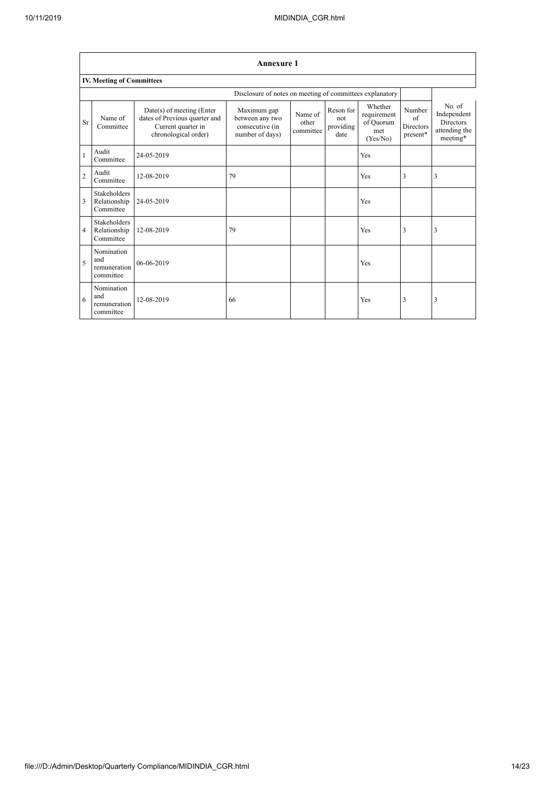$\overline{\phantom{a}}$ 

٦

|                | <b>Annexure 1</b>                                |                                                                                                          |                                                                      |                               |                                       |                                                        |                                               |                                                                 |
|----------------|--------------------------------------------------|----------------------------------------------------------------------------------------------------------|----------------------------------------------------------------------|-------------------------------|---------------------------------------|--------------------------------------------------------|-----------------------------------------------|-----------------------------------------------------------------|
|                | IV. Meeting of Committees                        |                                                                                                          |                                                                      |                               |                                       |                                                        |                                               |                                                                 |
|                |                                                  |                                                                                                          | Disclosure of notes on meeting of committees explanatory             |                               |                                       |                                                        |                                               |                                                                 |
| Sr             | Name of<br>Committee                             | Date(s) of meeting (Enter<br>dates of Previous quarter and<br>Current quarter in<br>chronological order) | Maximum gap<br>between any two<br>consecutive (in<br>number of days) | Name of<br>other<br>committee | Reson for<br>not<br>providing<br>date | Whether<br>requirement<br>of Quorum<br>met<br>(Yes/No) | Number<br>$\sigma$ f<br>Directors<br>present* | No. of<br>Independent<br>Directors<br>attending the<br>meeting* |
|                | Audit<br>Committee                               | 24-05-2019                                                                                               |                                                                      |                               |                                       | Yes                                                    |                                               |                                                                 |
| $\overline{2}$ | Audit<br>Committee                               | 12-08-2019                                                                                               | 79                                                                   |                               |                                       | Yes                                                    | 3                                             | 3                                                               |
| 3              | Stakeholders<br>Relationship<br>Committee        | 24-05-2019                                                                                               |                                                                      |                               |                                       | Yes                                                    |                                               |                                                                 |
| $\overline{4}$ | <b>Stakeholders</b><br>Relationship<br>Committee | 12-08-2019                                                                                               | 79                                                                   |                               |                                       | Yes                                                    | 3                                             | 3                                                               |
| 5              | Nomination<br>and<br>remuneration<br>committee   | 06-06-2019                                                                                               |                                                                      |                               |                                       | Yes                                                    |                                               |                                                                 |
| 6              | Nomination<br>and<br>remuneration<br>committee   | 12-08-2019                                                                                               | 66                                                                   |                               |                                       | Yes                                                    | 3                                             | 3                                                               |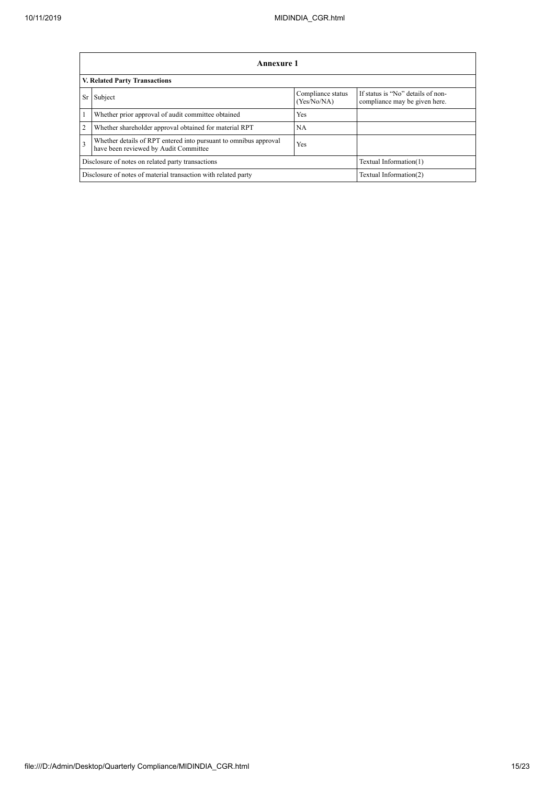|                | Annexure 1                                                                                                |                                  |                                                                    |  |  |  |
|----------------|-----------------------------------------------------------------------------------------------------------|----------------------------------|--------------------------------------------------------------------|--|--|--|
|                | <b>V. Related Party Transactions</b>                                                                      |                                  |                                                                    |  |  |  |
| Sr             | Subject                                                                                                   | Compliance status<br>(Yes/No/NA) | If status is "No" details of non-<br>compliance may be given here. |  |  |  |
|                | Whether prior approval of audit committee obtained                                                        | <b>Yes</b>                       |                                                                    |  |  |  |
| $\overline{2}$ | Whether shareholder approval obtained for material RPT                                                    | <b>NA</b>                        |                                                                    |  |  |  |
| $\overline{3}$ | Whether details of RPT entered into pursuant to omnibus approval<br>have been reviewed by Audit Committee | Yes                              |                                                                    |  |  |  |
|                | Disclosure of notes on related party transactions<br>Textual Information(1)                               |                                  |                                                                    |  |  |  |
|                | Disclosure of notes of material transaction with related party<br>Textual Information(2)                  |                                  |                                                                    |  |  |  |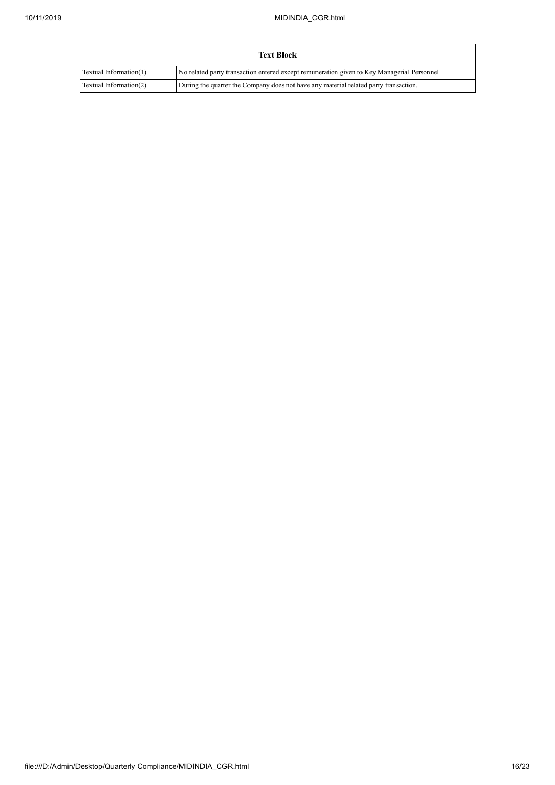|                        | <b>Text Block</b>                                                                          |
|------------------------|--------------------------------------------------------------------------------------------|
| Textual Information(1) | No related party transaction entered except remuneration given to Key Managerial Personnel |
| Textual Information(2) | During the quarter the Company does not have any material related party transaction.       |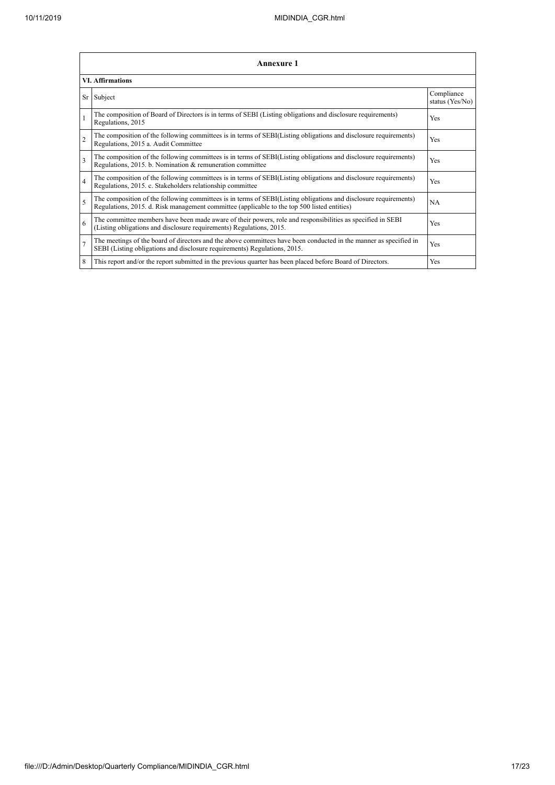|                          | <b>Annexure 1</b>                                                                                                                                                                                               |                               |  |  |  |
|--------------------------|-----------------------------------------------------------------------------------------------------------------------------------------------------------------------------------------------------------------|-------------------------------|--|--|--|
|                          | <b>VI. Affirmations</b>                                                                                                                                                                                         |                               |  |  |  |
|                          | Sr Subject                                                                                                                                                                                                      | Compliance<br>status (Yes/No) |  |  |  |
|                          | The composition of Board of Directors is in terms of SEBI (Listing obligations and disclosure requirements)<br>Regulations, 2015                                                                                | Yes                           |  |  |  |
| $\overline{2}$           | The composition of the following committees is in terms of SEBI(Listing obligations and disclosure requirements)<br>Regulations, 2015 a. Audit Committee                                                        | Yes                           |  |  |  |
| 3                        | The composition of the following committees is in terms of SEBI(Listing obligations and disclosure requirements)<br>Regulations, 2015. b. Nomination & remuneration committee                                   | Yes                           |  |  |  |
| $\overline{4}$           | The composition of the following committees is in terms of SEBI(Listing obligations and disclosure requirements)<br>Regulations, 2015. c. Stakeholders relationship committee                                   | Yes                           |  |  |  |
| $\overline{\phantom{0}}$ | The composition of the following committees is in terms of SEBI(Listing obligations and disclosure requirements)<br>Regulations, 2015. d. Risk management committee (applicable to the top 500 listed entities) | <b>NA</b>                     |  |  |  |
| 6                        | The committee members have been made aware of their powers, role and responsibilities as specified in SEBI<br>(Listing obligations and disclosure requirements) Regulations, 2015.                              | Yes                           |  |  |  |
| $\overline{7}$           | The meetings of the board of directors and the above committees have been conducted in the manner as specified in<br>SEBI (Listing obligations and disclosure requirements) Regulations, 2015.                  | Yes                           |  |  |  |
| 8                        | This report and/or the report submitted in the previous quarter has been placed before Board of Directors.                                                                                                      | Yes                           |  |  |  |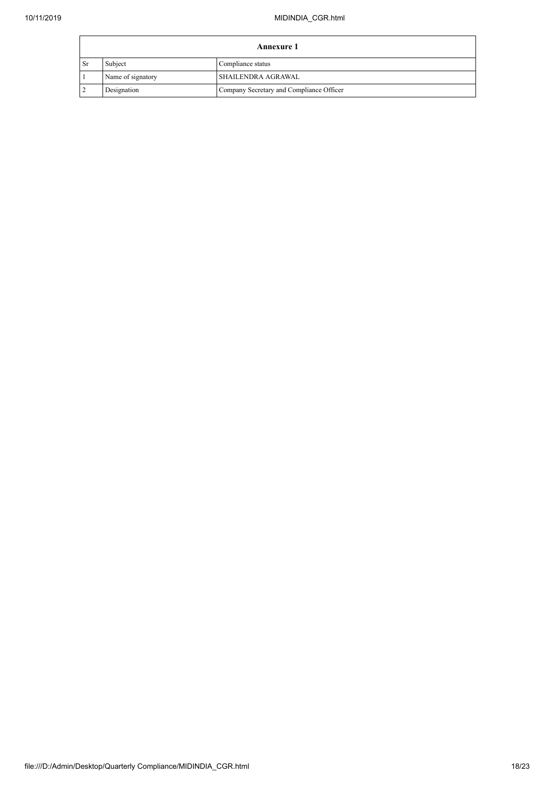|      | <b>Annexure 1</b>            |                                          |  |  |  |
|------|------------------------------|------------------------------------------|--|--|--|
| 1 Sr | Subject<br>Compliance status |                                          |  |  |  |
|      | Name of signatory            | <b>SHAILENDRA AGRAWAL</b>                |  |  |  |
|      | Designation                  | Company Secretary and Compliance Officer |  |  |  |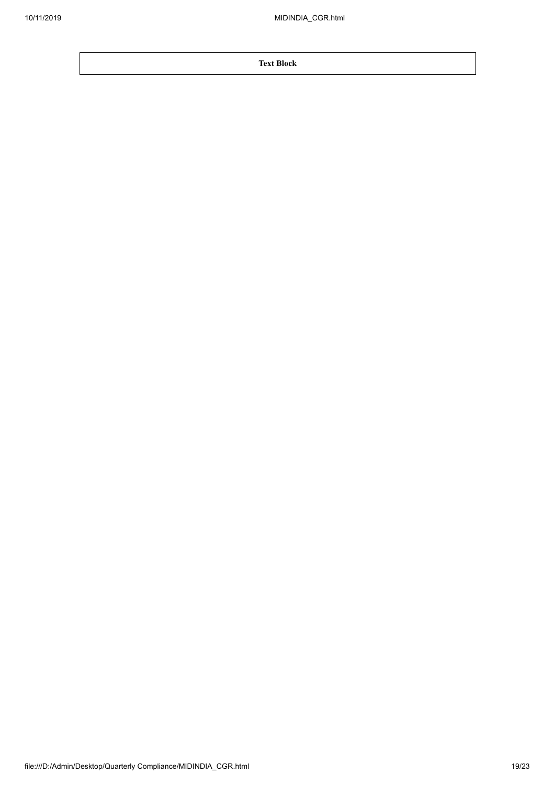**Text Block**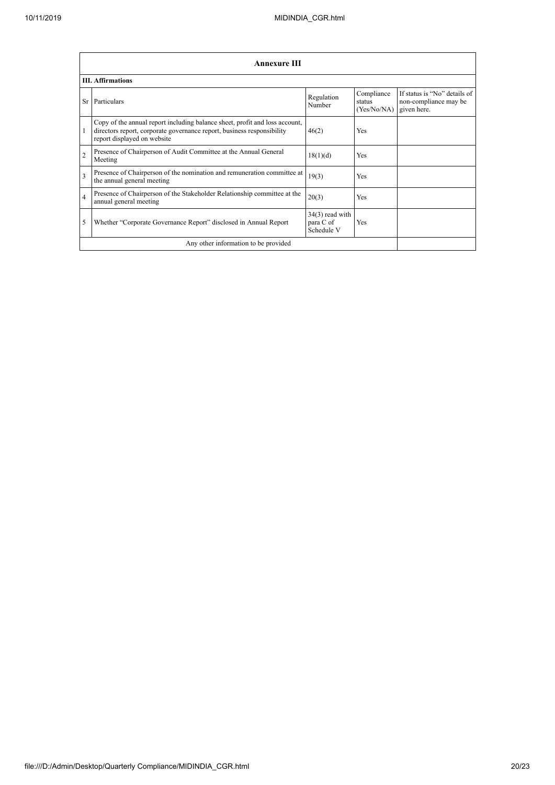|                         | <b>Annexure III</b>                                                                                                                                                                  |                                              |                                     |                                                                      |  |  |
|-------------------------|--------------------------------------------------------------------------------------------------------------------------------------------------------------------------------------|----------------------------------------------|-------------------------------------|----------------------------------------------------------------------|--|--|
|                         | <b>III.</b> Affirmations                                                                                                                                                             |                                              |                                     |                                                                      |  |  |
|                         | Sr Particulars                                                                                                                                                                       | Regulation<br>Number                         | Compliance<br>status<br>(Yes/No/NA) | If status is "No" details of<br>non-compliance may be<br>given here. |  |  |
| 1                       | Copy of the annual report including balance sheet, profit and loss account,<br>directors report, corporate governance report, business responsibility<br>report displayed on website | 46(2)                                        | Yes                                 |                                                                      |  |  |
| $\overline{2}$          | Presence of Chairperson of Audit Committee at the Annual General<br>Meeting                                                                                                          | 18(1)(d)                                     | Yes                                 |                                                                      |  |  |
| $\overline{\mathbf{3}}$ | Presence of Chairperson of the nomination and remuneration committee at<br>the annual general meeting                                                                                | 19(3)                                        | Yes                                 |                                                                      |  |  |
| 4                       | Presence of Chairperson of the Stakeholder Relationship committee at the<br>annual general meeting                                                                                   | 20(3)                                        | Yes                                 |                                                                      |  |  |
| 5                       | Whether "Corporate Governance Report" disclosed in Annual Report                                                                                                                     | $34(3)$ read with<br>para C of<br>Schedule V | Yes                                 |                                                                      |  |  |
|                         | Any other information to be provided                                                                                                                                                 |                                              |                                     |                                                                      |  |  |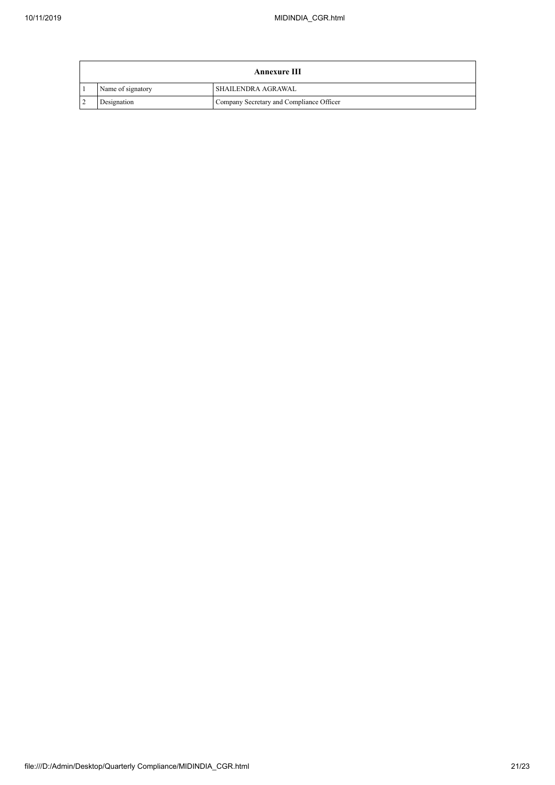| Annexure III      |                                          |  |  |  |
|-------------------|------------------------------------------|--|--|--|
| Name of signatory | I SHAILENDRA AGRAWAL                     |  |  |  |
| Designation       | Company Secretary and Compliance Officer |  |  |  |